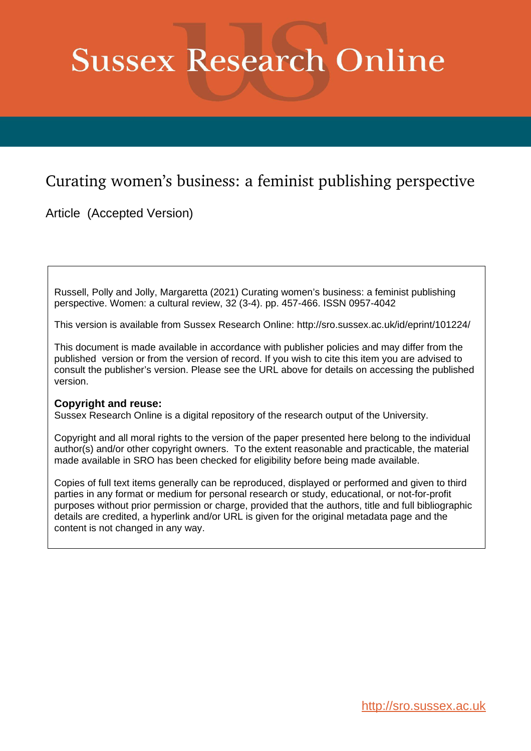# **Sussex Research Online**

# Curating women's business: a feminist publishing perspective

Article (Accepted Version)

Russell, Polly and Jolly, Margaretta (2021) Curating women's business: a feminist publishing perspective. Women: a cultural review, 32 (3-4). pp. 457-466. ISSN 0957-4042

This version is available from Sussex Research Online: http://sro.sussex.ac.uk/id/eprint/101224/

This document is made available in accordance with publisher policies and may differ from the published version or from the version of record. If you wish to cite this item you are advised to consult the publisher's version. Please see the URL above for details on accessing the published version.

## **Copyright and reuse:**

Sussex Research Online is a digital repository of the research output of the University.

Copyright and all moral rights to the version of the paper presented here belong to the individual author(s) and/or other copyright owners. To the extent reasonable and practicable, the material made available in SRO has been checked for eligibility before being made available.

Copies of full text items generally can be reproduced, displayed or performed and given to third parties in any format or medium for personal research or study, educational, or not-for-profit purposes without prior permission or charge, provided that the authors, title and full bibliographic details are credited, a hyperlink and/or URL is given for the original metadata page and the content is not changed in any way.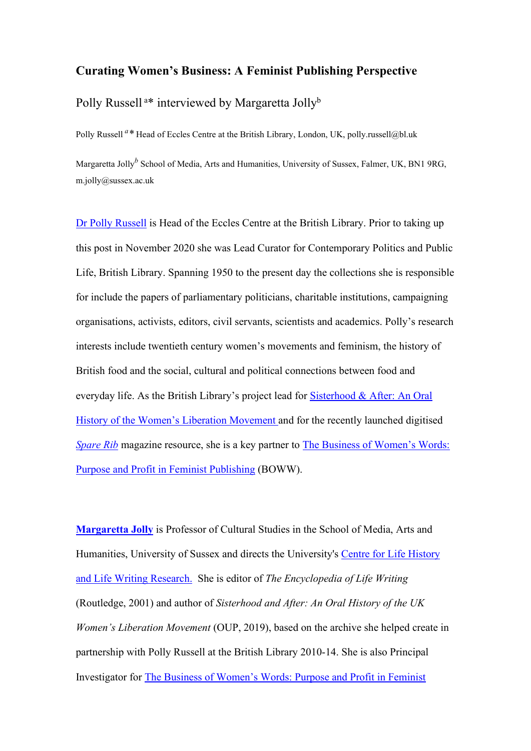### **Curating Women's Business: A Feminist Publishing Perspective**

Polly Russell <sup>a\*</sup> interviewed by Margaretta Jolly<sup>b</sup>

Polly Russell *<sup>a</sup> \** Head of Eccles Centre at the British Library, London, UK, polly.russell@bl.uk

Margaretta Jolly*<sup>b</sup>* School of Media, Arts and Humanities, University of Sussex, Falmer, UK, BN1 9RG, [m.jolly@sussex.ac.uk](mailto:m.jolly@sussex.ac.uk)

Dr Polly Russell is Head of the Eccles Centre at the British Library. Prior to taking up this post in November 2020 she was Lead Curator for Contemporary Politics and Public Life, British Library. Spanning 1950 to the present day the collections she is responsible for include the papers of parliamentary politicians, charitable institutions, campaigning organisations, activists, editors, civil servants, scientists and academics. Polly's research interests include twentieth century women's movements and feminism, the history of British food and the social, cultural and political connections between food and everyday life. As the British Library's project lead for [Sisterhood & After: An Oral](http://www.bl.uk/sisterhood)  [History of the Women's Liberation Movement a](http://www.bl.uk/sisterhood)nd for the recently launched digitised *[Spare Rib](https://journalarchives.jisc.ac.uk/britishlibrary/sparerib)* magazine resource, she is a key partner to [The Business of Women's Words:](http://blogs.sussex.ac.uk/businessofwomenswords/)  [Purpose and Profit in Feminist Publishing](http://blogs.sussex.ac.uk/businessofwomenswords/) (BOWW).

**[Margaretta Jolly](http://www.sussex.ac.uk/profiles/16251)** is Professor of Cultural Studies in the School of Media, Arts and Humanities, University of Sussex and directs the University's [Centre for Life History](http://www.sussex.ac.uk/clhlwr/)  [and Life Writing Research.](http://www.sussex.ac.uk/clhlwr/) She is editor of *The Encyclopedia of Life Writing*  (Routledge, 2001) and author of *Sisterhood and After: An Oral History of the UK Women's Liberation Movement* (OUP, 2019), based on the archive she helped create in partnership with Polly Russell at the British Library 2010-14. She is also Principal Investigator for [The Business of Women's Words: Purpose and Profit in Feminist](http://blogs.sussex.ac.uk/businessofwomenswords/)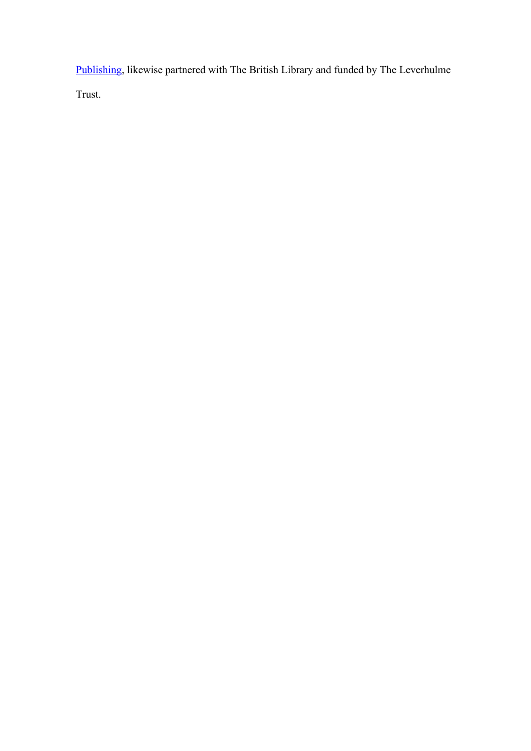[Publishing,](http://blogs.sussex.ac.uk/businessofwomenswords/) likewise partnered with The British Library and funded by The Leverhulme Trust.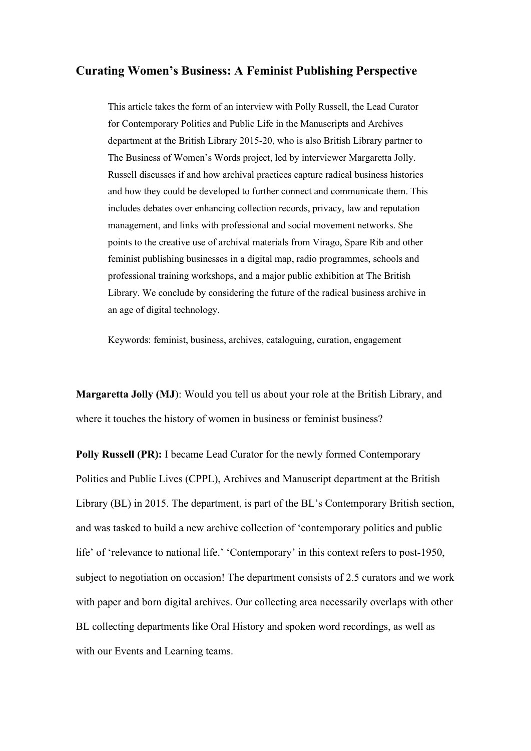### **Curating Women's Business: A Feminist Publishing Perspective**

This article takes the form of an interview with Polly Russell, the Lead Curator for Contemporary Politics and Public Life in the Manuscripts and Archives department at the British Library 2015-20, who is also British Library partner to The Business of Women's Words project, led by interviewer Margaretta Jolly. Russell discusses if and how archival practices capture radical business histories and how they could be developed to further connect and communicate them. This includes debates over enhancing collection records, privacy, law and reputation management, and links with professional and social movement networks. She points to the creative use of archival materials from Virago, Spare Rib and other feminist publishing businesses in a digital map, radio programmes, schools and professional training workshops, and a major public exhibition at The British Library. We conclude by considering the future of the radical business archive in an age of digital technology.

Keywords: feminist, business, archives, cataloguing, curation, engagement

**Margaretta Jolly (MJ**): Would you tell us about your role at the British Library, and where it touches the history of women in business or feminist business?

**Polly Russell (PR):** I became Lead Curator for the newly formed Contemporary Politics and Public Lives (CPPL), Archives and Manuscript department at the British Library (BL) in 2015. The department, is part of the BL's Contemporary British section, and was tasked to build a new archive collection of 'contemporary politics and public life' of 'relevance to national life.' 'Contemporary' in this context refers to post-1950, subject to negotiation on occasion! The department consists of 2.5 curators and we work with paper and born digital archives. Our collecting area necessarily overlaps with other BL collecting departments like Oral History and spoken word recordings, as well as with our Events and Learning teams.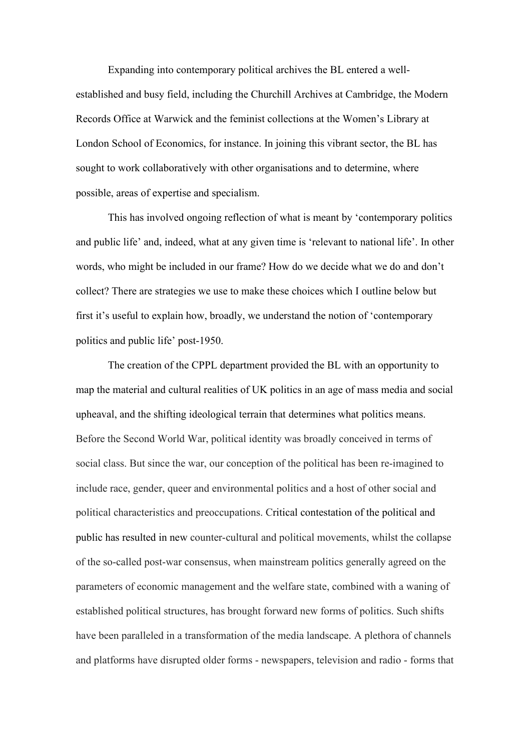Expanding into contemporary political archives the BL entered a wellestablished and busy field, including the Churchill Archives at Cambridge, the Modern Records Office at Warwick and the feminist collections at the Women's Library at London School of Economics, for instance. In joining this vibrant sector, the BL has sought to work collaboratively with other organisations and to determine, where possible, areas of expertise and specialism.

This has involved ongoing reflection of what is meant by 'contemporary politics and public life' and, indeed, what at any given time is 'relevant to national life'. In other words, who might be included in our frame? How do we decide what we do and don't collect? There are strategies we use to make these choices which I outline below but first it's useful to explain how, broadly, we understand the notion of 'contemporary politics and public life' post-1950.

The creation of the CPPL department provided the BL with an opportunity to map the material and cultural realities of UK politics in an age of mass media and social upheaval, and the shifting ideological terrain that determines what politics means. Before the Second World War, political identity was broadly conceived in terms of social class. But since the war, our conception of the political has been re-imagined to include race, gender, queer and environmental politics and a host of other social and political characteristics and preoccupations. Critical contestation of the political and public has resulted in new counter-cultural and political movements, whilst the collapse of the so-called post-war consensus, when mainstream politics generally agreed on the parameters of economic management and the welfare state, combined with a waning of established political structures, has brought forward new forms of politics. Such shifts have been paralleled in a transformation of the media landscape. A plethora of channels and platforms have disrupted older forms - newspapers, television and radio - forms that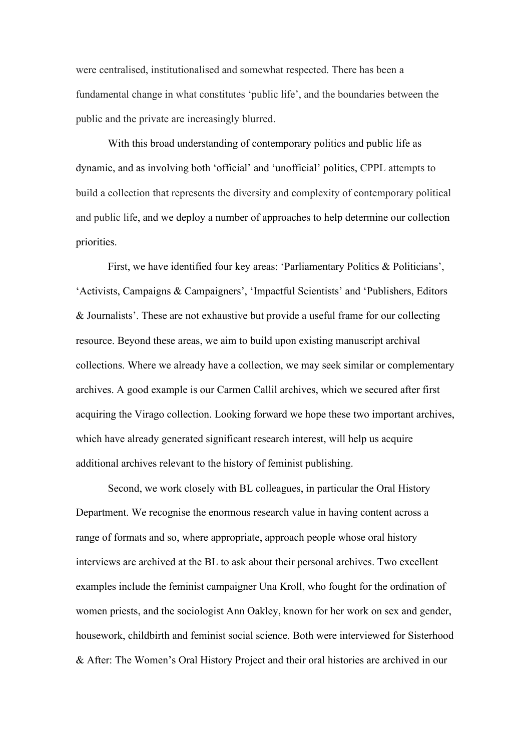were centralised, institutionalised and somewhat respected. There has been a fundamental change in what constitutes 'public life', and the boundaries between the public and the private are increasingly blurred.

With this broad understanding of contemporary politics and public life as dynamic, and as involving both 'official' and 'unofficial' politics, CPPL attempts to build a collection that represents the diversity and complexity of contemporary political and public life, and we deploy a number of approaches to help determine our collection priorities.

First, we have identified four key areas: 'Parliamentary Politics & Politicians', 'Activists, Campaigns & Campaigners', 'Impactful Scientists' and 'Publishers, Editors & Journalists'. These are not exhaustive but provide a useful frame for our collecting resource. Beyond these areas, we aim to build upon existing manuscript archival collections. Where we already have a collection, we may seek similar or complementary archives. A good example is our Carmen Callil archives, which we secured after first acquiring the Virago collection. Looking forward we hope these two important archives, which have already generated significant research interest, will help us acquire additional archives relevant to the history of feminist publishing.

Second, we work closely with BL colleagues, in particular the Oral History Department. We recognise the enormous research value in having content across a range of formats and so, where appropriate, approach people whose oral history interviews are archived at the BL to ask about their personal archives. Two excellent examples include the feminist campaigner Una Kroll, who fought for the ordination of women priests, and the sociologist Ann Oakley, known for her work on sex and gender, housework, childbirth and feminist social science. Both were interviewed for Sisterhood & After: The Women's Oral History Project and their oral histories are archived in our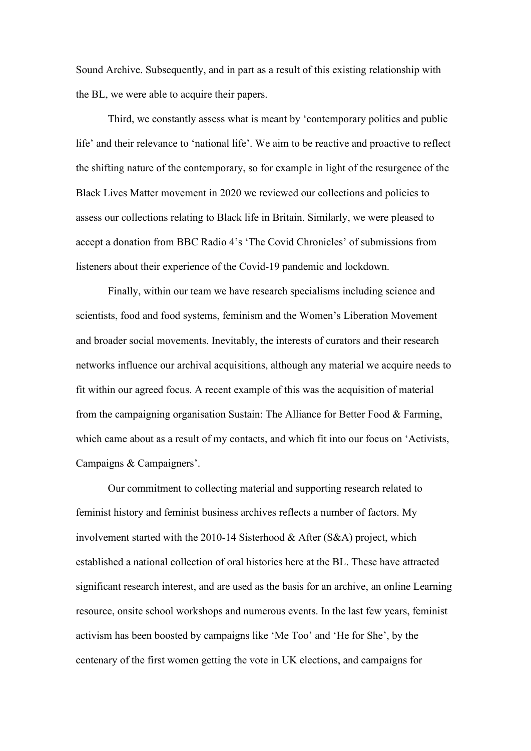Sound Archive. Subsequently, and in part as a result of this existing relationship with the BL, we were able to acquire their papers.

Third, we constantly assess what is meant by 'contemporary politics and public life' and their relevance to 'national life'. We aim to be reactive and proactive to reflect the shifting nature of the contemporary, so for example in light of the resurgence of the Black Lives Matter movement in 2020 we reviewed our collections and policies to assess our collections relating to Black life in Britain. Similarly, we were pleased to accept a donation from BBC Radio 4's 'The Covid Chronicles' of submissions from listeners about their experience of the Covid-19 pandemic and lockdown.

Finally, within our team we have research specialisms including science and scientists, food and food systems, feminism and the Women's Liberation Movement and broader social movements. Inevitably, the interests of curators and their research networks influence our archival acquisitions, although any material we acquire needs to fit within our agreed focus. A recent example of this was the acquisition of material from the campaigning organisation Sustain: The Alliance for Better Food & Farming, which came about as a result of my contacts, and which fit into our focus on 'Activists, Campaigns & Campaigners'.

Our commitment to collecting material and supporting research related to feminist history and feminist business archives reflects a number of factors. My involvement started with the 2010-14 Sisterhood & After (S&A) project, which established a national collection of oral histories here at the BL. These have attracted significant research interest, and are used as the basis for an archive, an online Learning resource, onsite school workshops and numerous events. In the last few years, feminist activism has been boosted by campaigns like 'Me Too' and 'He for She', by the centenary of the first women getting the vote in UK elections, and campaigns for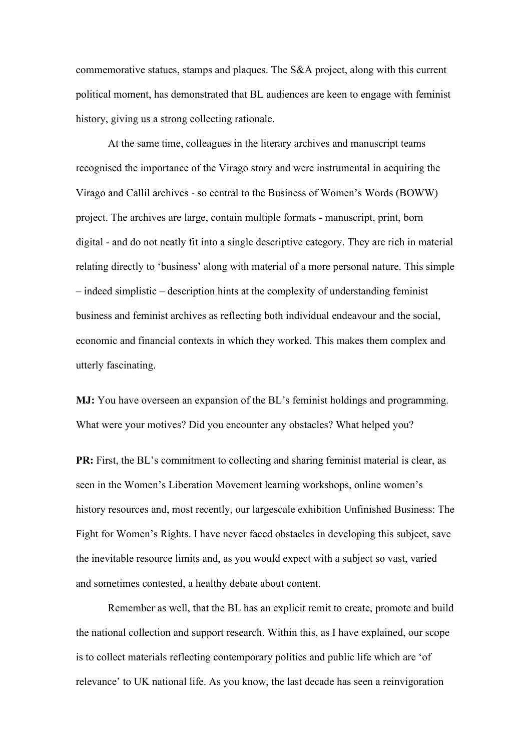commemorative statues, stamps and plaques. The S&A project, along with this current political moment, has demonstrated that BL audiences are keen to engage with feminist history, giving us a strong collecting rationale.

At the same time, colleagues in the literary archives and manuscript teams recognised the importance of the Virago story and were instrumental in acquiring the Virago and Callil archives - so central to the Business of Women's Words (BOWW) project. The archives are large, contain multiple formats - manuscript, print, born digital - and do not neatly fit into a single descriptive category. They are rich in material relating directly to 'business' along with material of a more personal nature. This simple – indeed simplistic – description hints at the complexity of understanding feminist business and feminist archives as reflecting both individual endeavour and the social, economic and financial contexts in which they worked. This makes them complex and utterly fascinating.

**MJ:** You have overseen an expansion of the BL's feminist holdings and programming. What were your motives? Did you encounter any obstacles? What helped you?

**PR:** First, the BL's commitment to collecting and sharing feminist material is clear, as seen in the Women's Liberation Movement learning workshops, online women's history resources and, most recently, our largescale exhibition Unfinished Business: The Fight for Women's Rights. I have never faced obstacles in developing this subject, save the inevitable resource limits and, as you would expect with a subject so vast, varied and sometimes contested, a healthy debate about content.

Remember as well, that the BL has an explicit remit to create, promote and build the national collection and support research. Within this, as I have explained, our scope is to collect materials reflecting contemporary politics and public life which are 'of relevance' to UK national life. As you know, the last decade has seen a reinvigoration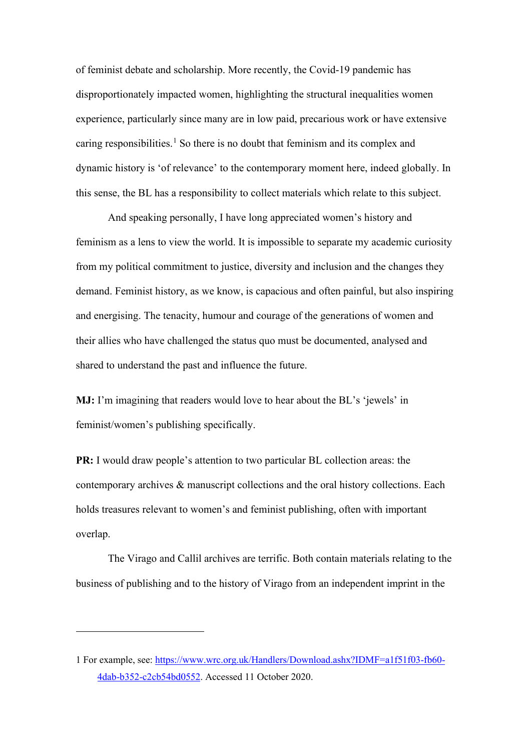of feminist debate and scholarship. More recently, the Covid-19 pandemic has disproportionately impacted women, highlighting the structural inequalities women experience, particularly since many are in low paid, precarious work or have extensive caring responsibilities. [1](#page-8-0) So there is no doubt that feminism and its complex and dynamic history is 'of relevance' to the contemporary moment here, indeed globally. In this sense, the BL has a responsibility to collect materials which relate to this subject.

And speaking personally, I have long appreciated women's history and feminism as a lens to view the world. It is impossible to separate my academic curiosity from my political commitment to justice, diversity and inclusion and the changes they demand. Feminist history, as we know, is capacious and often painful, but also inspiring and energising. The tenacity, humour and courage of the generations of women and their allies who have challenged the status quo must be documented, analysed and shared to understand the past and influence the future.

**MJ:** I'm imagining that readers would love to hear about the BL's 'jewels' in feminist/women's publishing specifically.

**PR:** I would draw people's attention to two particular BL collection areas: the contemporary archives & manuscript collections and the oral history collections. Each holds treasures relevant to women's and feminist publishing, often with important overlap.

The [Virago](http://hviewer.bl.uk/IamsHViewer/Default.aspx?mdark=ark:/81055/vdc_100000000035.0x00000f&_ga=2.39156516.685347012.1600605629-1283136981.1600605629) and Callil archives are terrific. Both contain materials relating to the business of publishing and to the history of Virago from an independent imprint in the

<span id="page-8-0"></span><sup>1</sup> For example, see: [https://www.wrc.org.uk/Handlers/Download.ashx?IDMF=a1f51f03-fb60-](https://www.wrc.org.uk/Handlers/Download.ashx?IDMF=a1f51f03-fb60-4dab-b352-c2cb54bd0552) [4dab-b352-c2cb54bd0552.](https://www.wrc.org.uk/Handlers/Download.ashx?IDMF=a1f51f03-fb60-4dab-b352-c2cb54bd0552) Accessed 11 October 2020.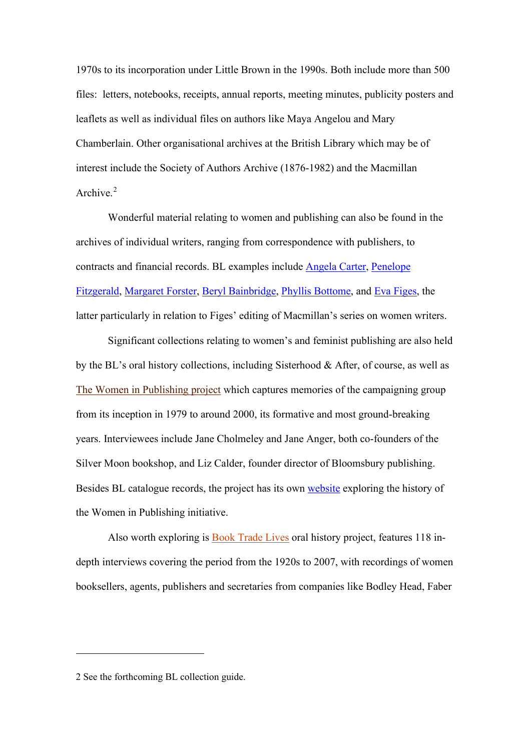1970s to its incorporation under Little Brown in the 1990s. Both include more than 500 files: letters, notebooks, receipts, annual reports, meeting minutes, publicity posters and leaflets as well as individual files on authors like Maya Angelou and Mary Chamberlain. Other organisational archives at the British Library which may be of interest include the [Society of Authors Archive](http://searcharchives.bl.uk/IAMS_VU2:IAMS032-001963884) (1876-1982) and the Macmillan Archive.<sup>[2](#page-9-0)</sup>

Wonderful material relating to women and publishing can also be found in the archives of individual writers, ranging from correspondence with publishers, to contracts and financial records. BL examples include [Angela Carter,](http://searcharchives.bl.uk/IAMS_VU2:IAMS032-000000450) [Penelope](http://searcharchives.bl.uk/IAMS_VU2:IAMS032-003441246)  [Fitzgerald,](http://searcharchives.bl.uk/IAMS_VU2:IAMS032-003441246) [Margaret Forster,](http://searcharchives.bl.uk/IAMS_VU2:IAMS032-003463667) [Beryl Bainbridge,](http://searcharchives.bl.uk/IAMS_VU2:IAMS032-001977816) [Phyllis Bottome,](http://searcharchives.bl.uk/IAMS_VU2:IAMS032-000178515) and [Eva Figes,](http://searcharchives.bl.uk/IAMS_VU2:IAMS032-002481877) the latter particularly in relation to Figes' editing of Macmillan's series on women writers.

Significant collections relating to women's and feminist publishing are also held by the BL's oral history collections, including Sisterhood & After, of course, as well as [The Women in Publishing project](http://cadensa.bl.uk/uhtbin/cgisirsi/x/0/0/5?searchdata1=CKEY7760509&library=ALL%20) which captures memories of the campaigning group from its inception in 1979 to around 2000, its formative and most ground-breaking years. Interviewees include Jane Cholmeley and Jane Anger, both co-founders of the Silver Moon bookshop, and Liz Calder, founder director of Bloomsbury publishing. Besides BL catalogue records, the project has its own [website](https://www.womeninpublishinghistory.org.uk/content/category/themes/the-beginning-of-women-in-publishing) exploring the history of the Women in Publishing initiative.

Also worth exploring is [Book Trade Lives](http://cadensa.bl.uk/uhtbin/cgisirsi/x/0/0/5?searchdata1=CKEY5545204&library=ALL) oral history project, features 118 indepth interviews covering the period from the 1920s to 2007, with recordings of women booksellers, agents, publishers and secretaries from companies like Bodley Head, Faber

<span id="page-9-0"></span><sup>2</sup> See the forthcoming BL collection guide.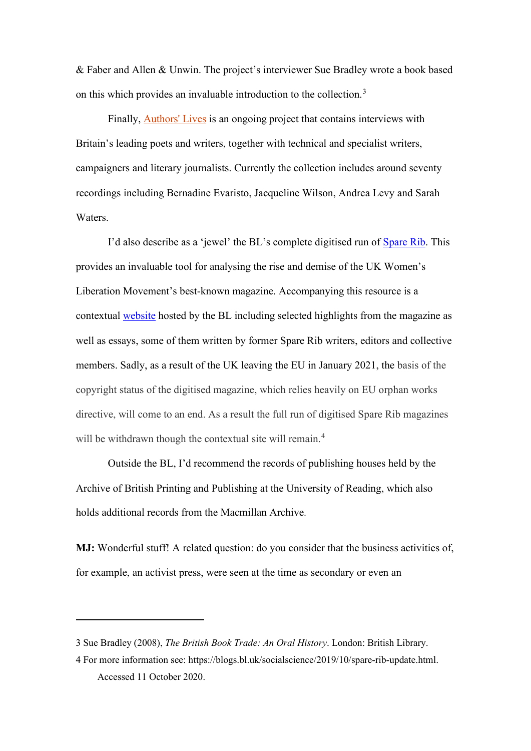& Faber and Allen & Unwin. The project's interviewer Sue Bradley wrote a book based on this which provides an invaluable introduction to the collection.<sup>[3](#page-10-0)</sup>

Finally, **[Authors' Lives](http://cadensa.bl.uk/uhtbin/cgisirsi/x/0/0/5?searchdata1=CKEY7089186&library)** is an ongoing project that contains interviews with Britain's leading poets and writers, together with technical and specialist writers, campaigners and literary journalists. Currently the collection includes around seventy recordings including Bernadine Evaristo, Jacqueline Wilson, Andrea Levy and Sarah Waters.

I'd also describe as a 'jewel' the BL's complete digitised run of [Spare Rib.](https://journalarchives.jisc.ac.uk/britishlibrary/sparerib/) This provides an invaluable tool for analysing the rise and demise of the UK Women's Liberation Movement's best-known magazine. Accompanying this resource is a contextual [website](https://www.bl.uk/spare-rib) hosted by the BL including selected highlights from the magazine as well as essays, some of them written by former Spare Rib writers, editors and collective members. Sadly, as a result of the UK leaving the EU in January 2021, the basis of the copyright status of the digitised magazine, which relies heavily on EU orphan works directive, will come to an end. As a result the full run of digitised Spare Rib magazines will be withdrawn though the contextual site will remain.<sup>[4](#page-10-1)</sup>

Outside the BL, I'd recommend the records of publishing houses held by the [Archive of British Printing and Publishing](https://collections.reading.ac.uk/special-collections/collection-overview/archive-of-british-printing-and-publishing/) at the University of Reading, which also holds [additional records from the Macmillan Archive.](https://collections.reading.ac.uk/special-collections/collections/macmillan-and-co-ltd-archive/)

**MJ:** Wonderful stuff! A related question: do you consider that the business activities of, for example, an activist press, were seen at the time as secondary or even an

<span id="page-10-0"></span><sup>3</sup> Sue Bradley (2008), *The British Book Trade: An Oral History*. London: British Library.

<span id="page-10-1"></span><sup>4</sup> For more information see: [https://blogs.bl.uk/socialscience/2019/10/spare-rib-update.html.](https://blogs.bl.uk/socialscience/2019/10/spare-rib-update.html) Accessed 11 October 2020.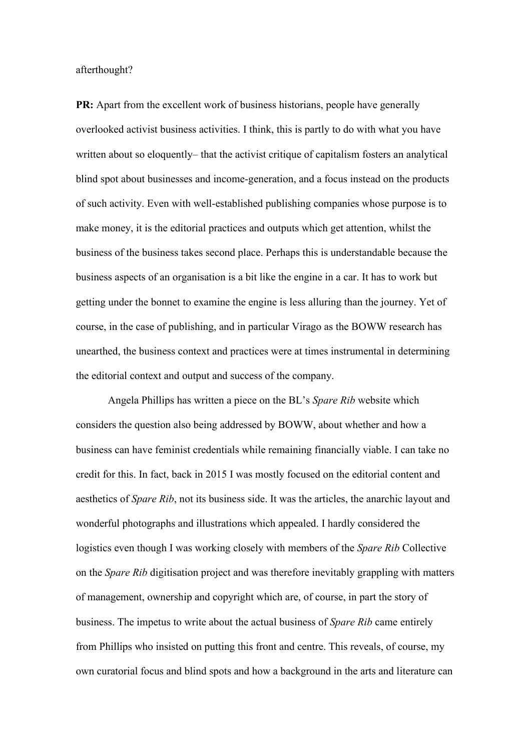afterthought?

**PR:** Apart from the excellent work of business historians, people have generally overlooked activist business activities. I think, this is partly to do with what you have written about so eloquently– that the activist critique of capitalism fosters an analytical blind spot about businesses and income-generation, and a focus instead on the products of such activity. Even with well-established publishing companies whose purpose is to make money, it is the editorial practices and outputs which get attention, whilst the business of the business takes second place. Perhaps this is understandable because the business aspects of an organisation is a bit like the engine in a car. It has to work but getting under the bonnet to examine the engine is less alluring than the journey. Yet of course, in the case of publishing, and in particular Virago as the BOWW research has unearthed, the business context and practices were at times instrumental in determining the editorial context and output and success of the company.

Angela Phillips has written a piece on the BL's *Spare Rib* website which considers the question also being addressed by BOWW, about whether and how a business can have feminist credentials while remaining financially viable. I can take no credit for this. In fact, back in 2015 I was mostly focused on the editorial content and aesthetics of *Spare Rib*, not its business side. It was the articles, the anarchic layout and wonderful photographs and illustrations which appealed. I hardly considered the logistics even though I was working closely with members of the *Spare Rib* Collective on the *Spare Rib* digitisation project and was therefore inevitably grappling with matters of management, ownership and copyright which are, of course, in part the story of business. The impetus to write about the actual business of *Spare Rib* came entirely from Phillips who insisted on putting this front and centre. This reveals, of course, my own curatorial focus and blind spots and how a background in the arts and literature can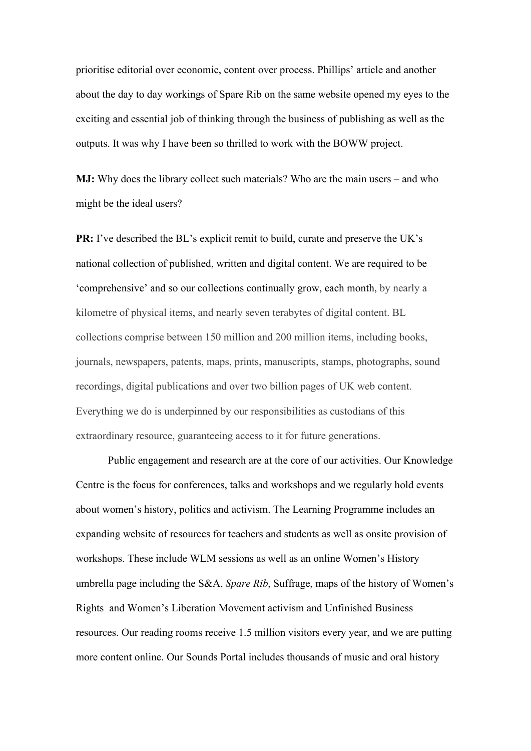prioritise editorial over economic, content over process. Phillips' article and another about the day to day workings of Spare Rib on the same website opened my eyes to the exciting and essential job of thinking through the business of publishing as well as the outputs. It was why I have been so thrilled to work with the BOWW project.

**MJ:** Why does the library collect such materials? Who are the main users – and who might be the ideal users?

**PR:** I've described the BL's explicit remit to build, curate and preserve the UK's national collection of published, written and digital content. We are required to be 'comprehensive' and so our collections continually grow, each month, by nearly a kilometre of physical items, and nearly seven terabytes of digital content. BL collections comprise between 150 million and 200 million items, including books, journals, newspapers, patents, maps, prints, manuscripts, stamps, photographs, sound recordings, digital publications and over two billion pages of UK web content. Everything we do is underpinned by our responsibilities as custodians of this extraordinary resource, guaranteeing access to it for future generations.

Public engagement and research are at the core of our activities. Our Knowledge Centre is the focus for conferences, talks and workshops and we regularly hold events about women's history, politics and activism. The Learning Programme includes an expanding website of resources for teachers and students as well as onsite provision of workshops. These include WLM sessions as well as an online Women's History umbrella page including the S&A, *Spare Rib*, Suffrage, maps of the history of Women's Rights and Women's Liberation Movement activism and Unfinished Business resources. Our reading rooms receive 1.5 million visitors every year, and we are putting more content online. Our Sounds Portal includes thousands of music and oral history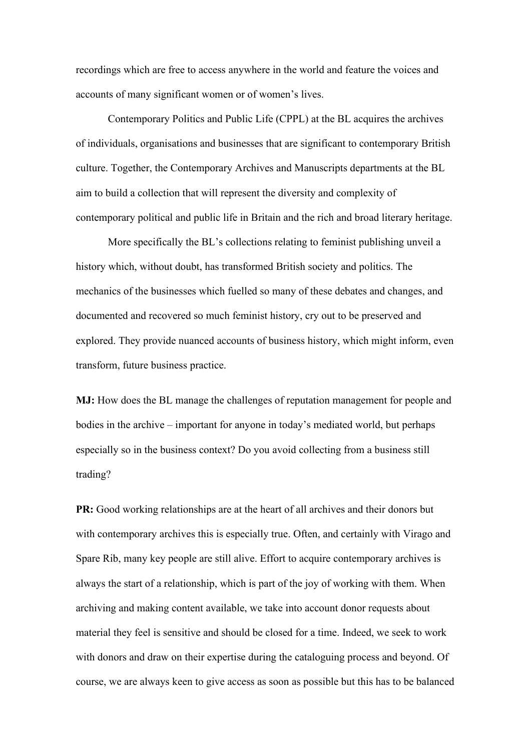recordings which are free to access anywhere in the world and feature the voices and accounts of many significant women or of women's lives.

Contemporary Politics and Public Life (CPPL) at the BL acquires the archives of individuals, organisations and businesses that are significant to contemporary British culture. Together, the Contemporary Archives and Manuscripts departments at the BL aim to build a collection that will represent the diversity and complexity of contemporary political and public life in Britain and the rich and broad literary heritage.

More specifically the BL's collections relating to feminist publishing unveil a history which, without doubt, has transformed British society and politics. The mechanics of the businesses which fuelled so many of these debates and changes, and documented and recovered so much feminist history, cry out to be preserved and explored. They provide nuanced accounts of business history, which might inform, even transform, future business practice.

**MJ:** How does the BL manage the challenges of reputation management for people and bodies in the archive – important for anyone in today's mediated world, but perhaps especially so in the business context? Do you avoid collecting from a business still trading?

**PR:** Good working relationships are at the heart of all archives and their donors but with contemporary archives this is especially true. Often, and certainly with Virago and Spare Rib, many key people are still alive. Effort to acquire contemporary archives is always the start of a relationship, which is part of the joy of working with them. When archiving and making content available, we take into account donor requests about material they feel is sensitive and should be closed for a time. Indeed, we seek to work with donors and draw on their expertise during the cataloguing process and beyond. Of course, we are always keen to give access as soon as possible but this has to be balanced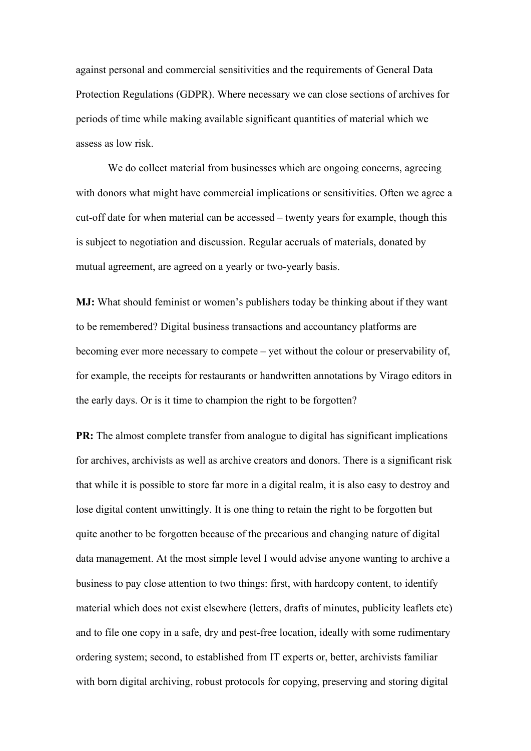against personal and commercial sensitivities and the requirements of General Data Protection Regulations (GDPR). Where necessary we can close sections of archives for periods of time while making available significant quantities of material which we assess as low risk.

We do collect material from businesses which are ongoing concerns, agreeing with donors what might have commercial implications or sensitivities. Often we agree a cut-off date for when material can be accessed – twenty years for example, though this is subject to negotiation and discussion. Regular accruals of materials, donated by mutual agreement, are agreed on a yearly or two-yearly basis.

**MJ:** What should feminist or women's publishers today be thinking about if they want to be remembered? Digital business transactions and accountancy platforms are becoming ever more necessary to compete – yet without the colour or preservability of, for example, the receipts for restaurants or handwritten annotations by Virago editors in the early days. Or is it time to champion the right to be forgotten?

**PR:** The almost complete transfer from analogue to digital has significant implications for archives, archivists as well as archive creators and donors. There is a significant risk that while it is possible to store far more in a digital realm, it is also easy to destroy and lose digital content unwittingly. It is one thing to retain the right to be forgotten but quite another to be forgotten because of the precarious and changing nature of digital data management. At the most simple level I would advise anyone wanting to archive a business to pay close attention to two things: first, with hardcopy content, to identify material which does not exist elsewhere (letters, drafts of minutes, publicity leaflets etc) and to file one copy in a safe, dry and pest-free location, ideally with some rudimentary ordering system; second, to established from IT experts or, better, archivists familiar with born digital archiving, robust protocols for copying, preserving and storing digital